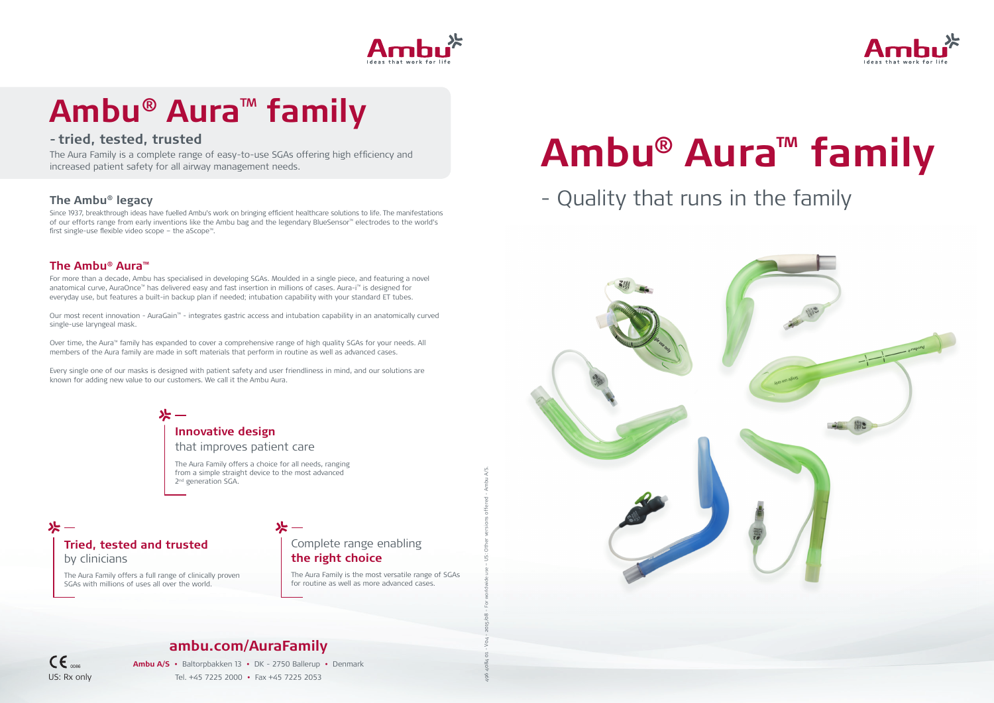## **ambu.com/AuraFamily**

**Ambu A/S •** Baltorpbakken 13 **•** DK - 2750 Ballerup **•** Denmark Tel. +45 7225 2000 **•** Fax +45 7225 2053

# **Ambu® Aura™ family** - Quality that runs in the family





496 4084 01 - V04 - 2015/08 - For worldwide use – US: Other versions offered - Ambu A/S.

## **The Ambu® legacy**

Since 1937, breakthrough ideas have fuelled Ambu's work on bringing efficient healthcare solutions to life. The manifestations of our efforts range from early inventions like the Ambu bag and the legendary BlueSensor™ electrodes to the world's first single-use flexible video scope – the aScope™.



# **Ambu® Aura**™ **family**

## **- tried, tested, trusted**

The Aura Family is a complete range of easy-to-use SGAs offering high efficiency and increased patient safety for all airway management needs.

## **The Ambu® Aura™**

The Aura Family offers a choice for all needs, ranging from a simple straight device to the most advanced 2<sup>nd</sup> generation SGA.

For more than a decade, Ambu has specialised in developing SGAs. Moulded in a single piece, and featuring a novel anatomical curve, AuraOnce™ has delivered easy and fast insertion in millions of cases. Aura-i™ is designed for everyday use, but features a built-in backup plan if needed; intubation capability with your standard ET tubes.

## $\mathsf{CE}_{\mathsf{one}}$ US: Rx only

Our most recent innovation - AuraGain™ - integrates gastric access and intubation capability in an anatomically curved single-use laryngeal mask.

Over time, the Aura™ family has expanded to cover a comprehensive range of high quality SGAs for your needs. All members of the Aura family are made in soft materials that perform in routine as well as advanced cases.

Every single one of our masks is designed with patient safety and user friendliness in mind, and our solutions are known for adding new value to our customers. We call it the Ambu Aura.



## **Innovative design**

that improves patient care

## **Tried, tested and trusted**  by clinicians

The Aura Family offers a full range of clinically proven SGAs with millions of uses all over the world.

## Complete range enabling **the right choice**

The Aura Family is the most versatile range of SGAs for routine as well as more advanced cases.